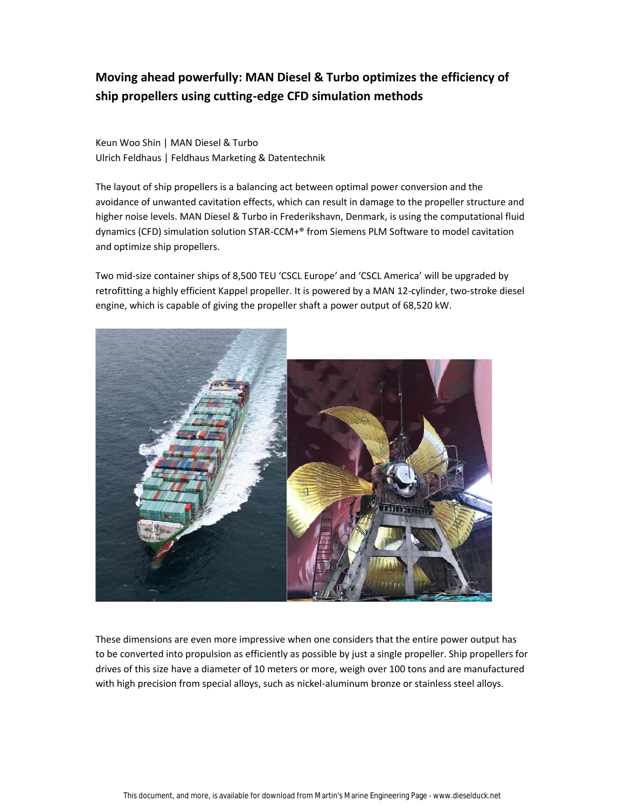# **Moving ahead powerfully: MAN Diesel & Turbo optimizes the efficiency of ship propellers using cutting-edge CFD simulation methods**

Keun Woo Shin | MAN Diesel & Turbo Ulrich Feldhaus | Feldhaus Marketing & Datentechnik

The layout of ship propellers is a balancing act between optimal power conversion and the avoidance of unwanted cavitation effects, which can result in damage to the propeller structure and higher noise levels. MAN Diesel & Turbo in Frederikshavn, Denmark, is using the computational fluid dynamics (CFD) simulation solution STAR-CCM+® from Siemens PLM Software to model cavitation and optimize ship propellers.

Two mid-size container ships of 8,500 TEU 'CSCL Europe' and 'CSCL America' will be upgraded by retrofitting a highly efficient Kappel propeller. It is powered by a MAN 12-cylinder, two-stroke diesel engine, which is capable of giving the propeller shaft a power output of 68,520 kW.



These dimensions are even more impressive when one considers that the entire power output has to be converted into propulsion as efficiently as possible by just a single propeller. Ship propellers for drives of this size have a diameter of 10 meters or more, weigh over 100 tons and are manufactured with high precision from special alloys, such as nickel-aluminum bronze or stainless steel alloys.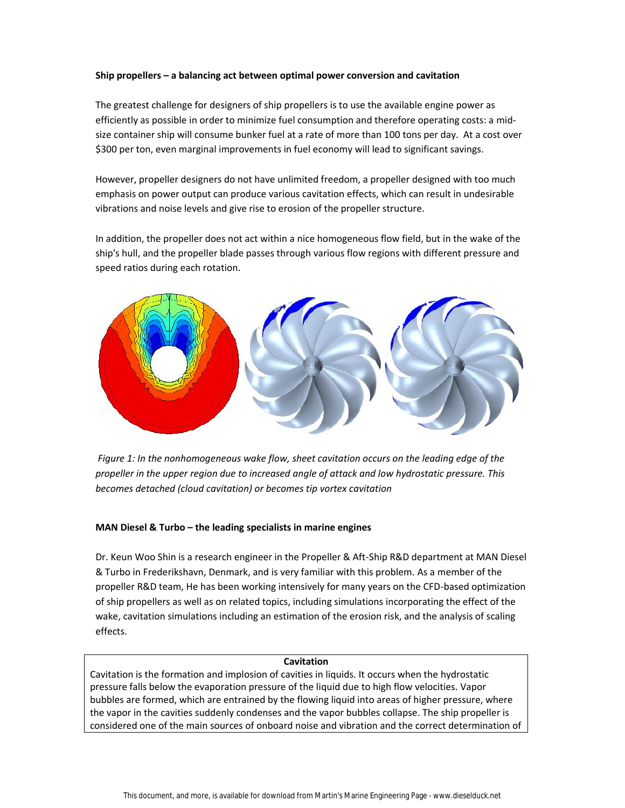#### **Ship propellers – a balancing act between optimal power conversion and cavitation**

The greatest challenge for designers of ship propellers is to use the available engine power as efficiently as possible in order to minimize fuel consumption and therefore operating costs: a mid size container ship will consume bunker fuel at a rate of more than 100 tons per day. At a cost over \$300 per ton, even marginal improvements in fuel economy will lead to significant savings.

However, propeller designers do not have unlimited freedom, a propeller designed with too much emphasis on power output can produce various cavitation effects, which can result in undesirable vibrations and noise levels and give rise to erosion of the propeller structure.

In addition, the propeller does not act within a nice homogeneous flow field, but in the wake of the ship's hull, and the propeller blade passes through various flow regions with different pressure and speed ratios during each rotation.



*Figure 1: In the nonhomogeneous wake flow, sheet cavitation occurs on the leading edge of the propeller in the upper region due to increased angle of attack and low hydrostatic pressure. This becomes detached (cloud cavitation) or becomes tip vortex cavitation*

#### **MAN Diesel & Turbo – the leading specialists in marine engines**

Dr. Keun Woo Shin is a research engineer in the Propeller & Aft-Ship R&D department at MAN Diesel & Turbo in Frederikshavn, Denmark, and is very familiar with this problem. As a member of the propeller R&D team, He has been working intensively for many years on the CFD-based optimization of ship propellers as well as on related topics, including simulations incorporating the effect of the wake, cavitation simulations including an estimation of the erosion risk, and the analysis of scaling effects.

#### **Cavitation**

Cavitation is the formation and implosion of cavities in liquids. It occurs when the hydrostatic pressure falls below the evaporation pressure of the liquid due to high flow velocities. Vapor bubbles are formed, which are entrained by the flowing liquid into areas of higher pressure, where the vapor in the cavities suddenly condenses and the vapor bubbles collapse. The ship propeller is considered one of the main sources of onboard noise and vibration and the correct determination of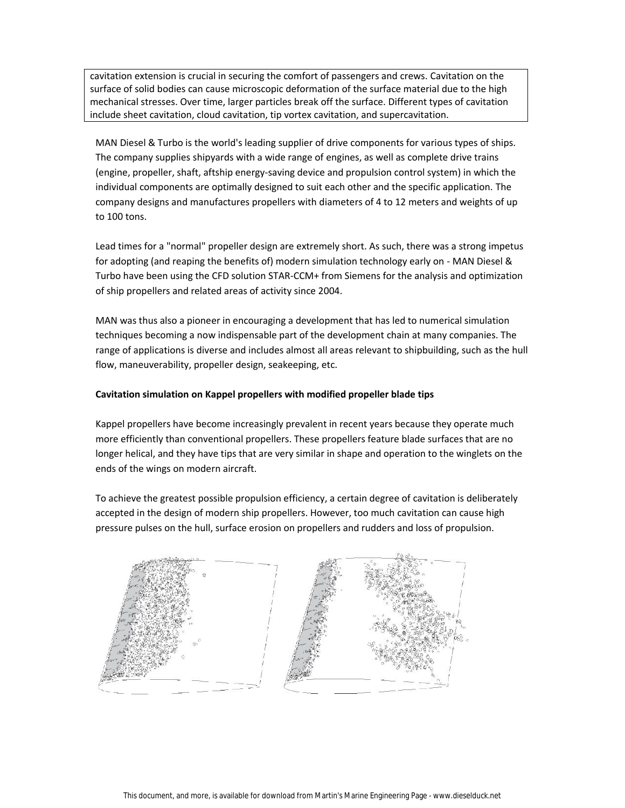cavitation extension is crucial in securing the comfort of passengers and crews. Cavitation on the surface of solid bodies can cause microscopic deformation of the surface material due to the high mechanical stresses. Over time, larger particles break off the surface. Different types of cavitation include sheet cavitation, cloud cavitation, tip vortex cavitation, and supercavitation.

MAN Diesel & Turbo is the world's leading supplier of drive components for various types of ships. The company supplies shipyards with a wide range of engines, as well as complete drive trains (engine, propeller, shaft, aftship energy-saving device and propulsion control system) in which the individual components are optimally designed to suit each other and the specific application. The company designs and manufactures propellers with diameters of 4 to 12 meters and weights of up to 100 tons.

Lead times for a "normal" propeller design are extremely short. As such, there was a strong impetus for adopting (and reaping the benefits of) modern simulation technology early on - MAN Diesel & Turbo have been using the CFD solution STAR-CCM+ from Siemens for the analysis and optimization of ship propellers and related areas of activity since 2004.

MAN was thus also a pioneer in encouraging a development that has led to numerical simulation techniques becoming a now indispensable part of the development chain at many companies. The range of applications is diverse and includes almost all areas relevant to shipbuilding, such as the hull flow, maneuverability, propeller design, seakeeping, etc.

#### **Cavitation simulation on Kappel propellers with modified propeller blade tips**

Kappel propellers have become increasingly prevalent in recent years because they operate much more efficiently than conventional propellers. These propellers feature blade surfaces that are no longer helical, and they have tips that are very similar in shape and operation to the winglets on the ends of the wings on modern aircraft.

To achieve the greatest possible propulsion efficiency, a certain degree of cavitation is deliberately accepted in the design of modern ship propellers. However, too much cavitation can cause high pressure pulses on the hull, surface erosion on propellers and rudders and loss of propulsion.

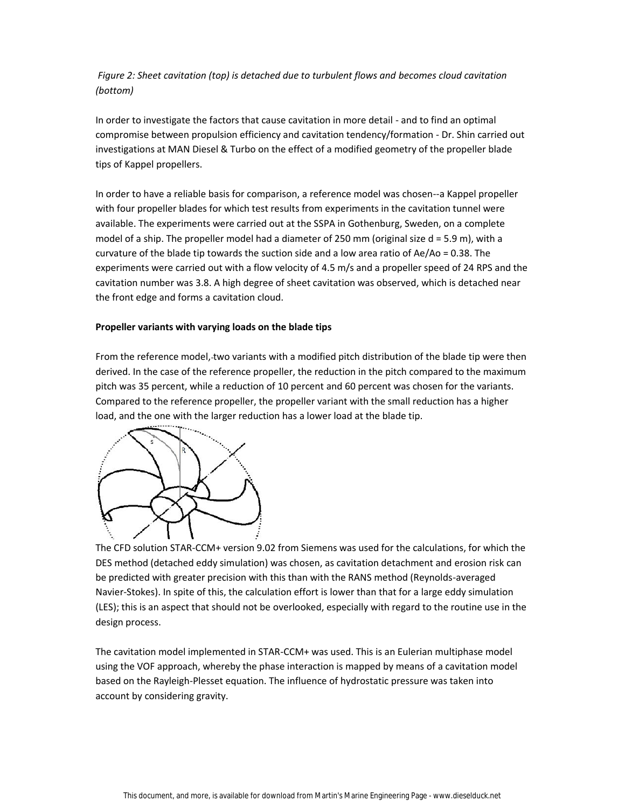*Figure 2: Sheet cavitation (top) is detached due to turbulent flows and becomes cloud cavitation (bottom)*

In order to investigate the factors that cause cavitation in more detail - and to find an optimal compromise between propulsion efficiency and cavitation tendency/formation - Dr. Shin carried out investigations at MAN Diesel & Turbo on the effect of a modified geometry of the propeller blade tips of Kappel propellers.

In order to have a reliable basis for comparison, a reference model was chosen--a Kappel propeller with four propeller blades for which test results from experiments in the cavitation tunnel were available. The experiments were carried out at the SSPA in Gothenburg, Sweden, on a complete model of a ship. The propeller model had a diameter of 250 mm (original size d = 5.9 m), with a curvature of the blade tip towards the suction side and a low area ratio of Ae/Ao = 0.38. The experiments were carried out with a flow velocity of 4.5 m/s and a propeller speed of 24 RPS and the cavitation number was 3.8. A high degree of sheet cavitation was observed, which is detached near the front edge and forms a cavitation cloud.

## **Propeller variants with varying loads on the blade tips**

From the reference model, two variants with a modified pitch distribution of the blade tip were then derived. In the case of the reference propeller, the reduction in the pitch compared to the maximum pitch was 35 percent, while a reduction of 10 percent and 60 percent was chosen for the variants. Compared to the reference propeller, the propeller variant with the small reduction has a higher load, and the one with the larger reduction has a lower load at the blade tip.



The CFD solution STAR-CCM+ version 9.02 from Siemens was used for the calculations, for which the DES method (detached eddy simulation) was chosen, as cavitation detachment and erosion risk can be predicted with greater precision with this than with the RANS method (Reynolds-averaged Navier-Stokes). In spite of this, the calculation effort is lower than that for a large eddy simulation (LES); this is an aspect that should not be overlooked, especially with regard to the routine use in the design process.

The cavitation model implemented in STAR-CCM+ was used. This is an Eulerian multiphase model using the VOF approach, whereby the phase interaction is mapped by means of a cavitation model based on the Rayleigh-Plesset equation. The influence of hydrostatic pressure was taken into account by considering gravity.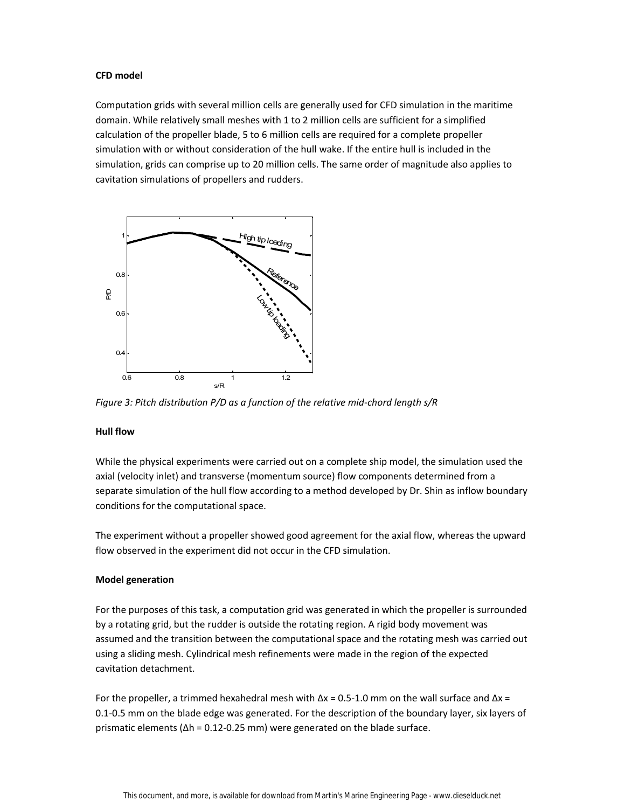## **CFD model**

Computation grids with several million cells are generally used for CFD simulation in the maritime domain. While relatively small meshes with 1 to 2 million cells are sufficient for a simplified calculation of the propeller blade, 5 to 6 million cells are required for a complete propeller simulation with or without consideration of the hull wake. If the entire hull is included in the simulation, grids can comprise up to 20 million cells. The same order of magnitude also applies to cavitation simulations of propellers and rudders.



*Figure 3: Pitch distribution P/D as a function of the relative mid-chord length s/R*

#### **Hull flow**

While the physical experiments were carried out on a complete ship model, the simulation used the axial (velocity inlet) and transverse (momentum source) flow components determined from a separate simulation of the hull flow according to a method developed by Dr. Shin as inflow boundary conditions for the computational space.

The experiment without a propeller showed good agreement for the axial flow, whereas the upward flow observed in the experiment did not occur in the CFD simulation.

## **Model generation**

For the purposes of this task, a computation grid was generated in which the propeller is surrounded by a rotating grid, but the rudder is outside the rotating region. A rigid body movement was assumed and the transition between the computational space and the rotating mesh was carried out using a sliding mesh. Cylindrical mesh refinements were made in the region of the expected cavitation detachment.

For the propeller, a trimmed hexahedral mesh with  $\Delta x = 0.5$ -1.0 mm on the wall surface and  $\Delta x =$ 0.1-0.5 mm on the blade edge was generated. For the description of the boundary layer, six layers of prismatic elements ( $\Delta h = 0.12$ -0.25 mm) were generated on the blade surface.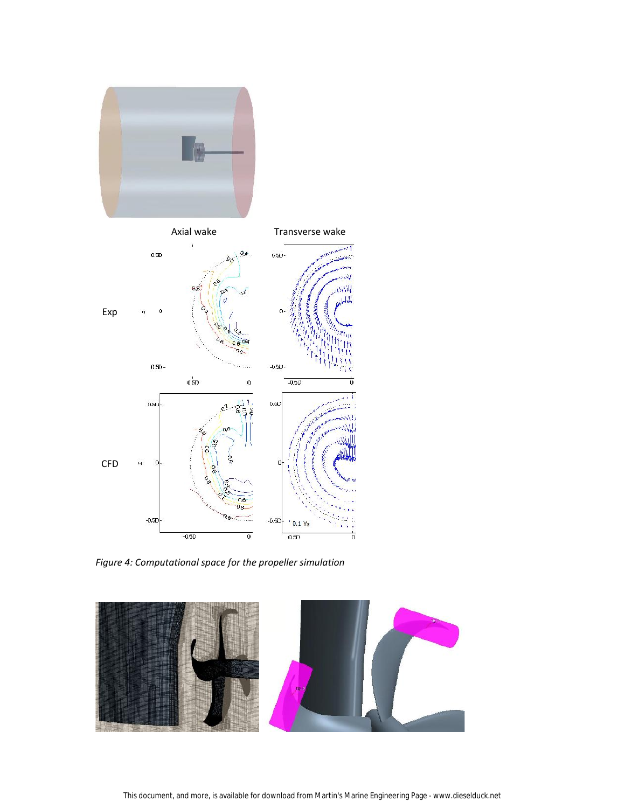

*Figure 4: Computational space for the propeller simulation*

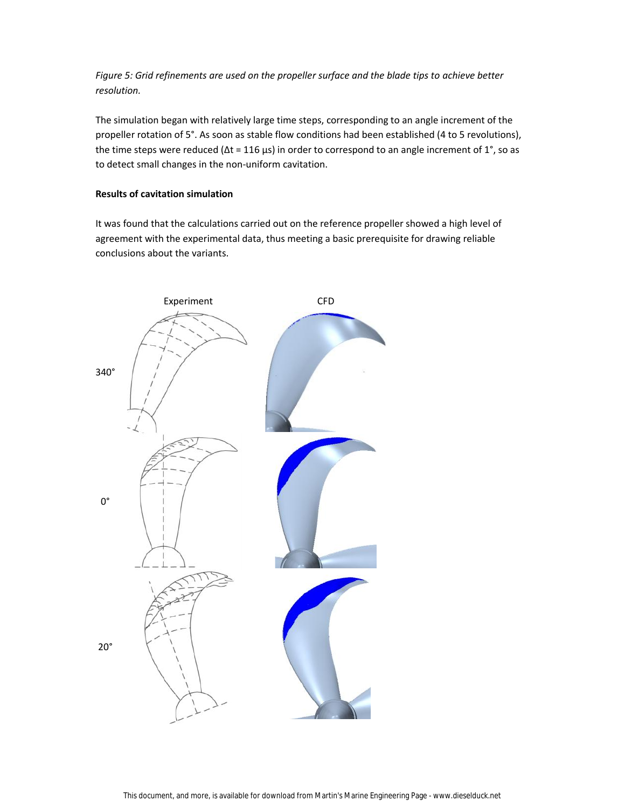*Figure 5: Grid refinements are used on the propeller surface and the blade tips to achieve better resolution.*

The simulation began with relatively large time steps, corresponding to an angle increment of the propeller rotation of 5°. As soon as stable flow conditions had been established (4 to 5 revolutions), the time steps were reduced ( $Δt = 116 \mu s$ ) in order to correspond to an angle increment of 1°, so as to detect small changes in the non-uniform cavitation.

## **Results of cavitation simulation**

It was found that the calculations carried out on the reference propeller showed a high level of agreement with the experimental data, thus meeting a basic prerequisite for drawing reliable conclusions about the variants.

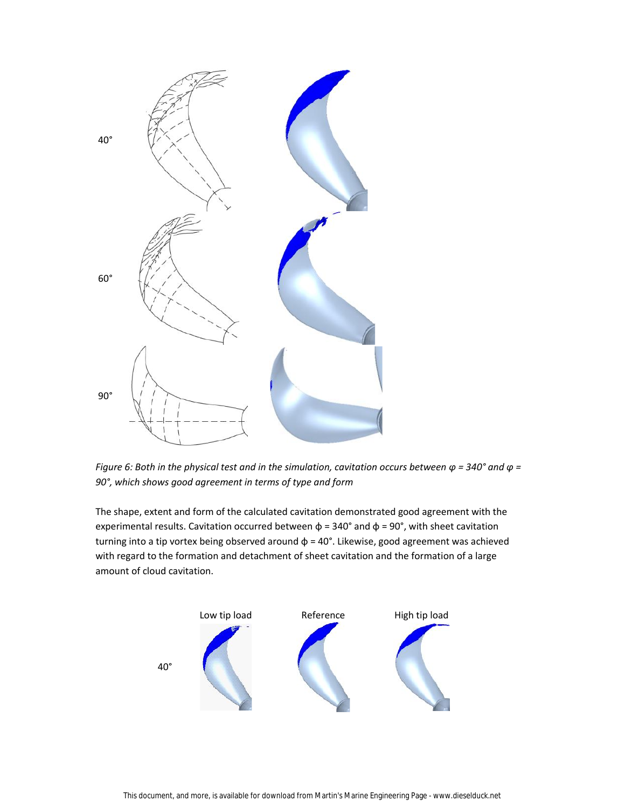

*Figure 6: Both in the physical test and in the simulation, cavitation occurs between φ = 340° and φ = 90°, which shows good agreement in terms of type and form*

The shape, extent and form of the calculated cavitation demonstrated good agreement with the experimental results. Cavitation occurred between  $\phi$  = 340° and  $\phi$  = 90°, with sheet cavitation turning into a tip vortex being observed around  $\phi$  = 40°. Likewise, good agreement was achieved with regard to the formation and detachment of sheet cavitation and the formation of a large amount of cloud cavitation.